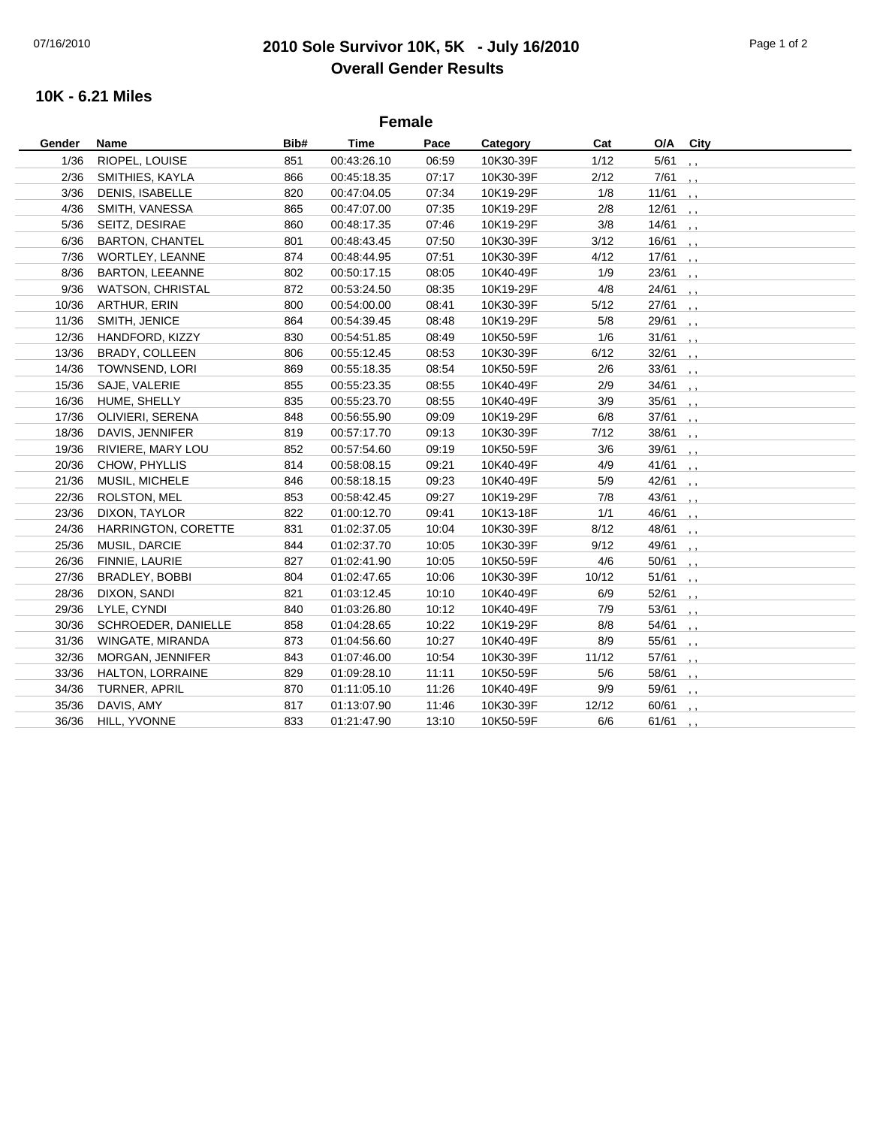## 07/16/2010 **2010 Sole Survivor 10K, 5K - July 16/2010** Page 1 of 2 **Overall Gender Results**

## **10K - 6.21 Miles**

| <b>Female</b> |                        |      |             |       |           |       |           |                          |  |  |
|---------------|------------------------|------|-------------|-------|-----------|-------|-----------|--------------------------|--|--|
| Gender        | Name                   | Bib# | <b>Time</b> | Pace  | Category  | Cat   | O/A       | City                     |  |  |
| 1/36          | RIOPEL, LOUISE         | 851  | 00:43:26.10 | 06:59 | 10K30-39F | 1/12  | $5/61$ ,  |                          |  |  |
| 2/36          | SMITHIES, KAYLA        | 866  | 00:45:18.35 | 07:17 | 10K30-39F | 2/12  | $7/61$ ,  |                          |  |  |
| 3/36          | <b>DENIS, ISABELLE</b> | 820  | 00:47:04.05 | 07:34 | 10K19-29F | 1/8   | 11/61,    |                          |  |  |
| 4/36          | SMITH, VANESSA         | 865  | 00:47:07.00 | 07:35 | 10K19-29F | 2/8   | 12/61,    |                          |  |  |
| 5/36          | SEITZ, DESIRAE         | 860  | 00:48:17.35 | 07:46 | 10K19-29F | 3/8   | $14/61$ , |                          |  |  |
| 6/36          | <b>BARTON, CHANTEL</b> | 801  | 00:48:43.45 | 07:50 | 10K30-39F | 3/12  | $16/61$ , |                          |  |  |
| 7/36          | WORTLEY, LEANNE        | 874  | 00:48:44.95 | 07:51 | 10K30-39F | 4/12  | $17/61$ , |                          |  |  |
| 8/36          | <b>BARTON, LEEANNE</b> | 802  | 00:50:17.15 | 08:05 | 10K40-49F | 1/9   | $23/61$ , |                          |  |  |
| 9/36          | WATSON, CHRISTAL       | 872  | 00:53:24.50 | 08:35 | 10K19-29F | 4/8   | $24/61$ , |                          |  |  |
| 10/36         | ARTHUR, ERIN           | 800  | 00:54:00.00 | 08:41 | 10K30-39F | 5/12  | $27/61$ , |                          |  |  |
| 11/36         | SMITH, JENICE          | 864  | 00:54:39.45 | 08:48 | 10K19-29F | 5/8   | $29/61$ , |                          |  |  |
| 12/36         | HANDFORD, KIZZY        | 830  | 00:54:51.85 | 08:49 | 10K50-59F | 1/6   | $31/61$ , |                          |  |  |
| 13/36         | <b>BRADY, COLLEEN</b>  | 806  | 00:55:12.45 | 08:53 | 10K30-39F | 6/12  | $32/61$ , |                          |  |  |
| 14/36         | TOWNSEND, LORI         | 869  | 00:55:18.35 | 08:54 | 10K50-59F | 2/6   | $33/61$ , |                          |  |  |
| 15/36         | SAJE, VALERIE          | 855  | 00:55:23.35 | 08:55 | 10K40-49F | 2/9   | $34/61$ , |                          |  |  |
| 16/36         | HUME, SHELLY           | 835  | 00:55:23.70 | 08:55 | 10K40-49F | 3/9   | $35/61$ , |                          |  |  |
| 17/36         | OLIVIERI, SERENA       | 848  | 00:56:55.90 | 09:09 | 10K19-29F | 6/8   | $37/61$ , |                          |  |  |
| 18/36         | DAVIS, JENNIFER        | 819  | 00:57:17.70 | 09:13 | 10K30-39F | 7/12  | $38/61$ , |                          |  |  |
| 19/36         | RIVIERE, MARY LOU      | 852  | 00:57:54.60 | 09:19 | 10K50-59F | 3/6   | $39/61$ , |                          |  |  |
| 20/36         | CHOW, PHYLLIS          | 814  | 00:58:08.15 | 09:21 | 10K40-49F | 4/9   | 41/61,    |                          |  |  |
| 21/36         | MUSIL, MICHELE         | 846  | 00:58:18.15 | 09:23 | 10K40-49F | 5/9   | $42/61$ , |                          |  |  |
| 22/36         | ROLSTON, MEL           | 853  | 00:58:42.45 | 09:27 | 10K19-29F | 7/8   | $43/61$ , |                          |  |  |
| 23/36         | DIXON, TAYLOR          | 822  | 01:00:12.70 | 09:41 | 10K13-18F | 1/1   | $46/61$ , |                          |  |  |
| 24/36         | HARRINGTON, CORETTE    | 831  | 01:02:37.05 | 10:04 | 10K30-39F | 8/12  | $48/61$ , |                          |  |  |
| 25/36         | MUSIL, DARCIE          | 844  | 01:02:37.70 | 10:05 | 10K30-39F | 9/12  | $49/61$ , |                          |  |  |
| 26/36         | FINNIE, LAURIE         | 827  | 01:02:41.90 | 10:05 | 10K50-59F | 4/6   | $50/61$ , |                          |  |  |
| 27/36         | BRADLEY, BOBBI         | 804  | 01:02:47.65 | 10:06 | 10K30-39F | 10/12 | 51/61,    |                          |  |  |
| 28/36         | DIXON, SANDI           | 821  | 01:03:12.45 | 10:10 | 10K40-49F | 6/9   | $52/61$ , |                          |  |  |
| 29/36         | LYLE, CYNDI            | 840  | 01:03:26.80 | 10:12 | 10K40-49F | 7/9   | $53/61$ , |                          |  |  |
| 30/36         | SCHROEDER, DANIELLE    | 858  | 01:04:28.65 | 10:22 | 10K19-29F | 8/8   | 54/61     | $\cdot$ ,                |  |  |
| 31/36         | WINGATE, MIRANDA       | 873  | 01:04:56.60 | 10:27 | 10K40-49F | 8/9   | $55/61$ , |                          |  |  |
| 32/36         | MORGAN, JENNIFER       | 843  | 01:07:46.00 | 10:54 | 10K30-39F | 11/12 | 57/61     | $\cdot$ , $\cdot$        |  |  |
| 33/36         | HALTON, LORRAINE       | 829  | 01:09:28.10 | 11:11 | 10K50-59F | 5/6   | 58/61     | $\cdot$ $\cdot$          |  |  |
| 34/36         | TURNER, APRIL          | 870  | 01:11:05.10 | 11:26 | 10K40-49F | 9/9   | 59/61     | $\overline{\phantom{a}}$ |  |  |
| 35/36         | DAVIS, AMY             | 817  | 01:13:07.90 | 11:46 | 10K30-39F | 12/12 | 60/61     | $\overline{\phantom{a}}$ |  |  |
| 36/36         | HILL, YVONNE           | 833  | 01:21:47.90 | 13:10 | 10K50-59F | 6/6   | 61/61     | $\cdots$                 |  |  |